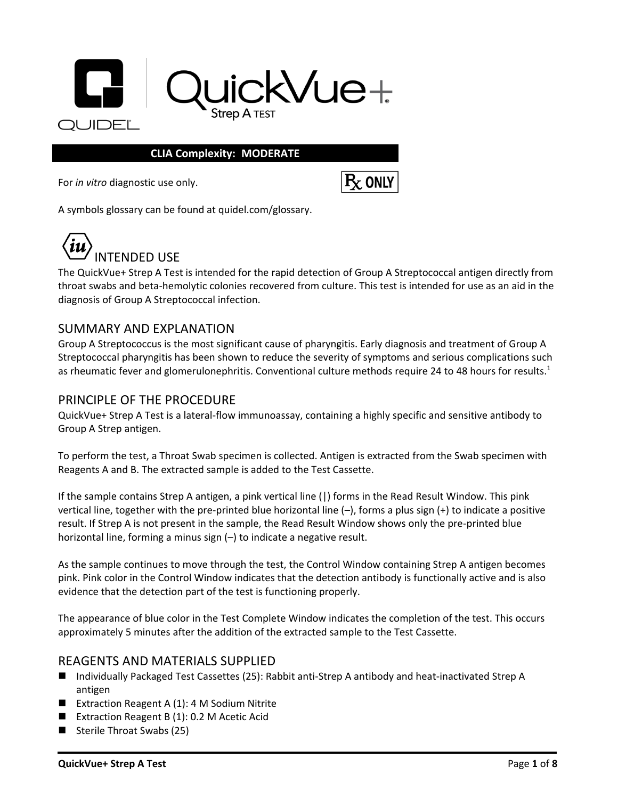

### **CLIA Complexity: MODERATE**

For *in vitro* diagnostic use only.

 $R_{X}$  ONLY

A symbols glossary can be found at quidel.com/glossary.



The QuickVue+ Strep A Test is intended for the rapid detection of Group A Streptococcal antigen directly from throat swabs and beta-hemolytic colonies recovered from culture. This test is intended for use as an aid in the diagnosis of Group A Streptococcal infection.

## SUMMARY AND EXPLANATION

Group A Streptococcus is the most significant cause of pharyngitis. Early diagnosis and treatment of Group A Streptococcal pharyngitis has been shown to reduce the severity of symptoms and serious complications such as rheumatic fever and glomerulonephritis. Conventional culture methods require 24 to 48 hours for results.<sup>1</sup>

## PRINCIPLE OF THE PROCEDURE

QuickVue+ Strep A Test is a lateral-flow immunoassay, containing a highly specific and sensitive antibody to Group A Strep antigen.

To perform the test, a Throat Swab specimen is collected. Antigen is extracted from the Swab specimen with Reagents A and B. The extracted sample is added to the Test Cassette.

If the sample contains Strep A antigen, a pink vertical line (|) forms in the Read Result Window. This pink vertical line, together with the pre-printed blue horizontal line (–), forms a plus sign (+) to indicate a positive result. If Strep A is not present in the sample, the Read Result Window shows only the pre-printed blue horizontal line, forming a minus sign (–) to indicate a negative result.

As the sample continues to move through the test, the Control Window containing Strep A antigen becomes pink. Pink color in the Control Window indicates that the detection antibody is functionally active and is also evidence that the detection part of the test is functioning properly.

The appearance of blue color in the Test Complete Window indicates the completion of the test. This occurs approximately 5 minutes after the addition of the extracted sample to the Test Cassette.

## REAGENTS AND MATERIALS SUPPLIED

- Individually Packaged Test Cassettes (25): Rabbit anti-Strep A antibody and heat-inactivated Strep A antigen
- Extraction Reagent A (1): 4 M Sodium Nitrite
- Extraction Reagent B (1): 0.2 M Acetic Acid
- Sterile Throat Swabs (25)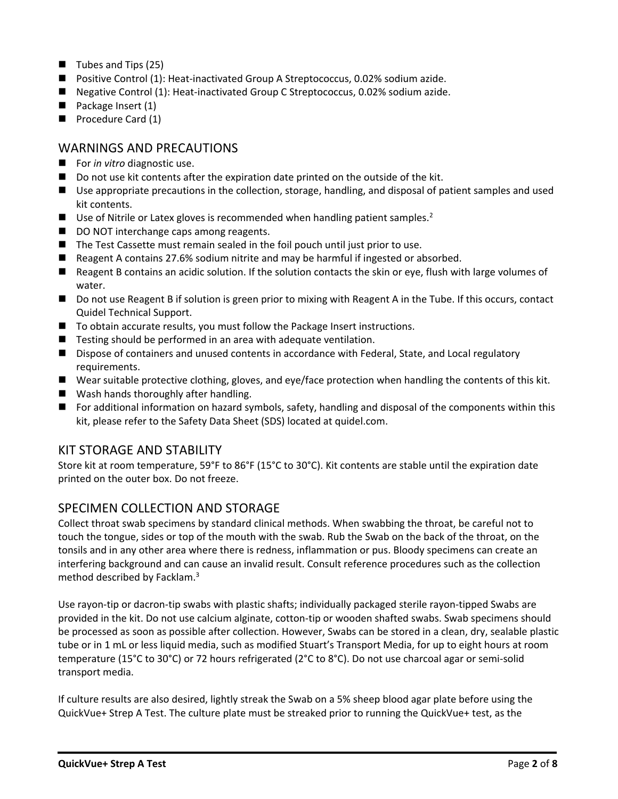- Tubes and Tips (25)
- Positive Control (1): Heat-inactivated Group A Streptococcus, 0.02% sodium azide.
- Negative Control (1): Heat-inactivated Group C Streptococcus, 0.02% sodium azide.
- Package Insert (1)
- Procedure Card (1)

# WARNINGS AND PRECAUTIONS

- For *in vitro* diagnostic use.
- Do not use kit contents after the expiration date printed on the outside of the kit.
- Use appropriate precautions in the collection, storage, handling, and disposal of patient samples and used kit contents.
- Use of Nitrile or Latex gloves is recommended when handling patient samples.<sup>2</sup>
- DO NOT interchange caps among reagents.
- The Test Cassette must remain sealed in the foil pouch until just prior to use.
- Reagent A contains 27.6% sodium nitrite and may be harmful if ingested or absorbed.
- Reagent B contains an acidic solution. If the solution contacts the skin or eye, flush with large volumes of water.
- Do not use Reagent B if solution is green prior to mixing with Reagent A in the Tube. If this occurs, contact Quidel Technical Support.
- To obtain accurate results, you must follow the Package Insert instructions.
- Testing should be performed in an area with adequate ventilation.
- Dispose of containers and unused contents in accordance with Federal, State, and Local regulatory requirements.
- Wear suitable protective clothing, gloves, and eye/face protection when handling the contents of this kit.
- Wash hands thoroughly after handling.
- For additional information on hazard symbols, safety, handling and disposal of the components within this kit, please refer to the Safety Data Sheet (SDS) located at quidel.com.

## KIT STORAGE AND STABILITY

Store kit at room temperature, 59°F to 86°F (15°C to 30°C). Kit contents are stable until the expiration date printed on the outer box. Do not freeze.

# SPECIMEN COLLECTION AND STORAGE

Collect throat swab specimens by standard clinical methods. When swabbing the throat, be careful not to touch the tongue, sides or top of the mouth with the swab. Rub the Swab on the back of the throat, on the tonsils and in any other area where there is redness, inflammation or pus. Bloody specimens can create an interfering background and can cause an invalid result. Consult reference procedures such as the collection method described by Facklam. 3

Use rayon-tip or dacron-tip swabs with plastic shafts; individually packaged sterile rayon-tipped Swabs are provided in the kit. Do not use calcium alginate, cotton-tip or wooden shafted swabs. Swab specimens should be processed as soon as possible after collection. However, Swabs can be stored in a clean, dry, sealable plastic tube or in 1 mL or less liquid media, such as modified Stuart's Transport Media, for up to eight hours at room temperature (15°C to 30°C) or 72 hours refrigerated (2°C to 8°C). Do not use charcoal agar or semi-solid transport media.

If culture results are also desired, lightly streak the Swab on a 5% sheep blood agar plate before using the QuickVue+ Strep A Test. The culture plate must be streaked prior to running the QuickVue+ test, as the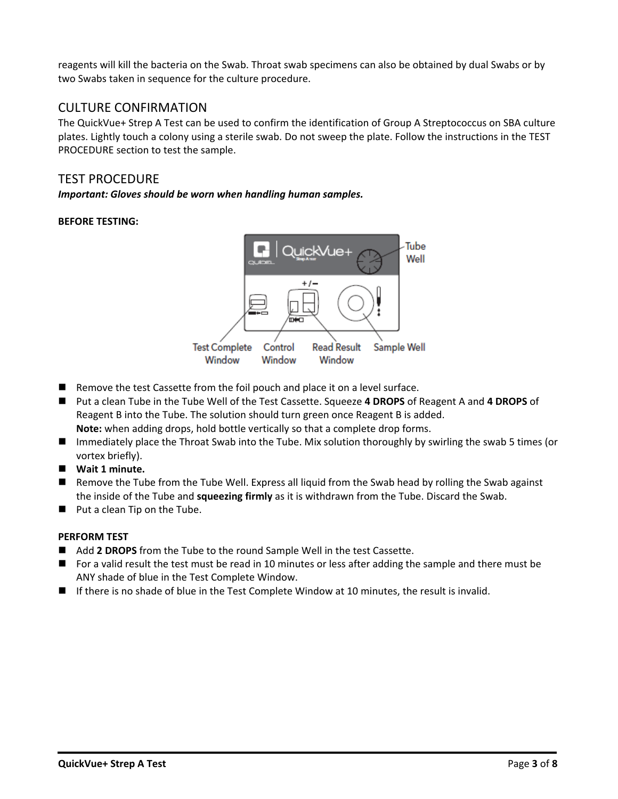reagents will kill the bacteria on the Swab. Throat swab specimens can also be obtained by dual Swabs or by two Swabs taken in sequence for the culture procedure.

# CULTURE CONFIRMATION

The QuickVue+ Strep A Test can be used to confirm the identification of Group A Streptococcus on SBA culture plates. Lightly touch a colony using a sterile swab. Do not sweep the plate. Follow the instructions in the TEST PROCEDURE section to test the sample.

## TEST PROCEDURE

*Important: Gloves should be worn when handling human samples.*

## **BEFORE TESTING:**



- Remove the test Cassette from the foil pouch and place it on a level surface.
- ◼ Put a clean Tube in the Tube Well of the Test Cassette. Squeeze **4 DROPS** of Reagent A and **4 DROPS** of Reagent B into the Tube. The solution should turn green once Reagent B is added. **Note:** when adding drops, hold bottle vertically so that a complete drop forms.
- Immediately place the Throat Swab into the Tube. Mix solution thoroughly by swirling the swab 5 times (or vortex briefly).
- Wait 1 minute.
- Remove the Tube from the Tube Well. Express all liquid from the Swab head by rolling the Swab against the inside of the Tube and **squeezing firmly** as it is withdrawn from the Tube. Discard the Swab.
- Put a clean Tip on the Tube.

## **PERFORM TEST**

- Add 2 DROPS from the Tube to the round Sample Well in the test Cassette.
- For a valid result the test must be read in 10 minutes or less after adding the sample and there must be ANY shade of blue in the Test Complete Window.
- If there is no shade of blue in the Test Complete Window at 10 minutes, the result is invalid.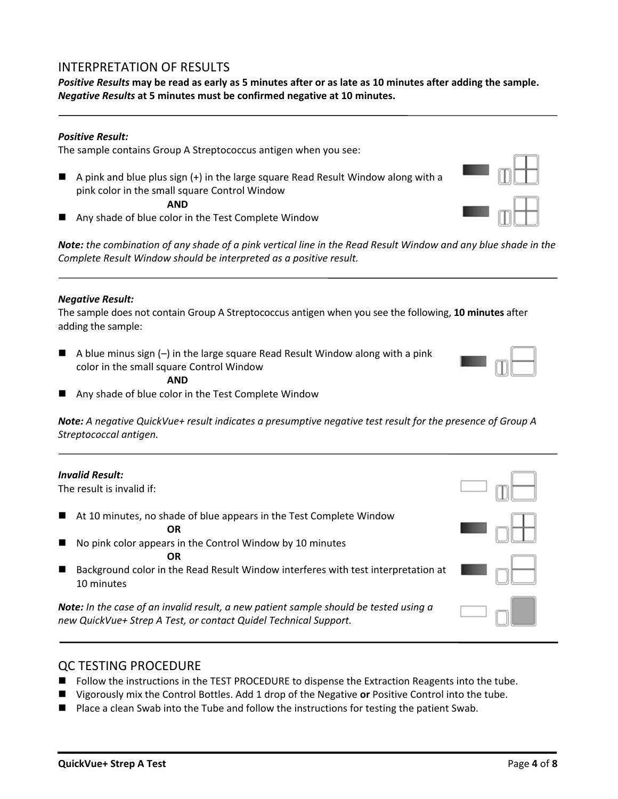## INTERPRETATION OF RESULTS

*Positive Results* **may be read as early as 5 minutes after or as late as 10 minutes after adding the sample.** *Negative Results* **at 5 minutes must be confirmed negative at 10 minutes.**

#### *Positive Result:*

The sample contains Group A Streptococcus antigen when you see:

■ A pink and blue plus sign (+) in the large square Read Result Window along with a pink color in the small square Control Window

**AND**

◼ Any shade of blue color in the Test Complete Window

*Note: the combination of any shade of a pink vertical line in the Read Result Window and any blue shade in the Complete Result Window should be interpreted as a positive result.* 

#### *Negative Result:*

*Invalid Result:*

The sample does not contain Group A Streptococcus antigen when you see the following, **10 minutes** after adding the sample:

- $\blacksquare$  A blue minus sign  $(-)$  in the large square Read Result Window along with a pink color in the small square Control Window
	- **AND**
- Any shade of blue color in the Test Complete Window

*Note: A negative QuickVue+ result indicates a presumptive negative test result for the presence of Group A Streptococcal antigen.*

| ,,,,,,,,,,,,,,,,,,                                                                 |
|------------------------------------------------------------------------------------|
| The result is invalid if:                                                          |
| $\blacksquare$ At 10 minutes, no shade of blue appears in the Test Complete Window |
| OR                                                                                 |
| No pink color appears in the Control Window by 10 minutes                          |
|                                                                                    |

■ Background color in the Read Result Window interferes with test interpretation at 10 minutes

*Note: In the case of an invalid result, a new patient sample should be tested using a new QuickVue+ Strep A Test, or contact Quidel Technical Support.*

#### QC TESTING PROCEDURE

- Follow the instructions in the TEST PROCEDURE to dispense the Extraction Reagents into the tube.
- Vigorously mix the Control Bottles. Add 1 drop of the Negative **or** Positive Control into the tube.
- Place a clean Swab into the Tube and follow the instructions for testing the patient Swab.



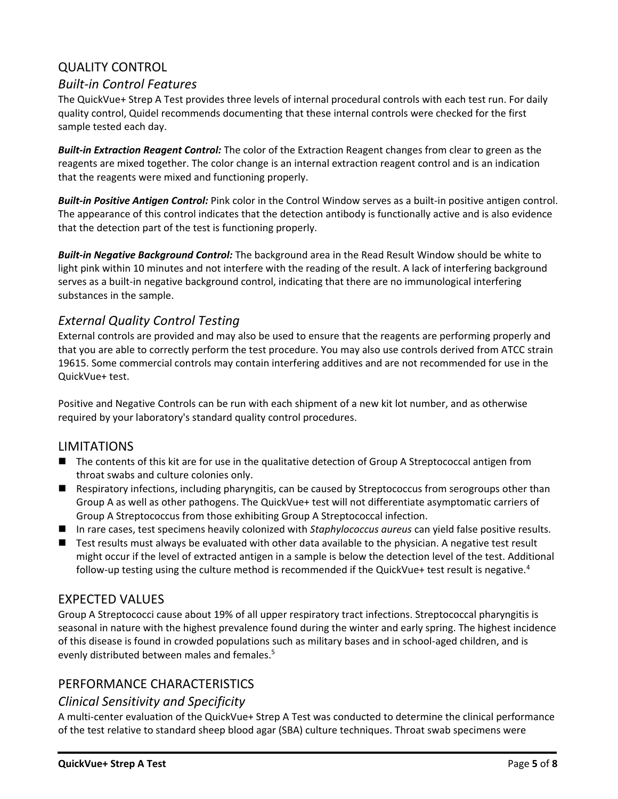# QUALITY CONTROL

## *Built-in Control Features*

The QuickVue+ Strep A Test provides three levels of internal procedural controls with each test run. For daily quality control, Quidel recommends documenting that these internal controls were checked for the first sample tested each day.

*Built-in Extraction Reagent Control:* The color of the Extraction Reagent changes from clear to green as the reagents are mixed together. The color change is an internal extraction reagent control and is an indication that the reagents were mixed and functioning properly.

*Built-in Positive Antigen Control:* Pink color in the Control Window serves as a built-in positive antigen control. The appearance of this control indicates that the detection antibody is functionally active and is also evidence that the detection part of the test is functioning properly.

*Built-in Negative Background Control:* The background area in the Read Result Window should be white to light pink within 10 minutes and not interfere with the reading of the result. A lack of interfering background serves as a built-in negative background control, indicating that there are no immunological interfering substances in the sample.

# *External Quality Control Testing*

External controls are provided and may also be used to ensure that the reagents are performing properly and that you are able to correctly perform the test procedure. You may also use controls derived from ATCC strain 19615. Some commercial controls may contain interfering additives and are not recommended for use in the QuickVue+ test.

Positive and Negative Controls can be run with each shipment of a new kit lot number, and as otherwise required by your laboratory's standard quality control procedures.

## LIMITATIONS

- The contents of this kit are for use in the qualitative detection of Group A Streptococcal antigen from throat swabs and culture colonies only.
- Respiratory infections, including pharyngitis, can be caused by Streptococcus from serogroups other than Group A as well as other pathogens. The QuickVue+ test will not differentiate asymptomatic carriers of Group A Streptococcus from those exhibiting Group A Streptococcal infection.
- In rare cases, test specimens heavily colonized with *Staphylococcus aureus* can yield false positive results.
- Test results must always be evaluated with other data available to the physician. A negative test result might occur if the level of extracted antigen in a sample is below the detection level of the test. Additional follow-up testing using the culture method is recommended if the QuickVue+ test result is negative.<sup>4</sup>

## EXPECTED VALUES

Group A Streptococci cause about 19% of all upper respiratory tract infections. Streptococcal pharyngitis is seasonal in nature with the highest prevalence found during the winter and early spring. The highest incidence of this disease is found in crowded populations such as military bases and in school-aged children, and is evenly distributed between males and females.<sup>5</sup>

# PERFORMANCE CHARACTERISTICS

## *Clinical Sensitivity and Specificity*

A multi-center evaluation of the QuickVue+ Strep A Test was conducted to determine the clinical performance of the test relative to standard sheep blood agar (SBA) culture techniques. Throat swab specimens were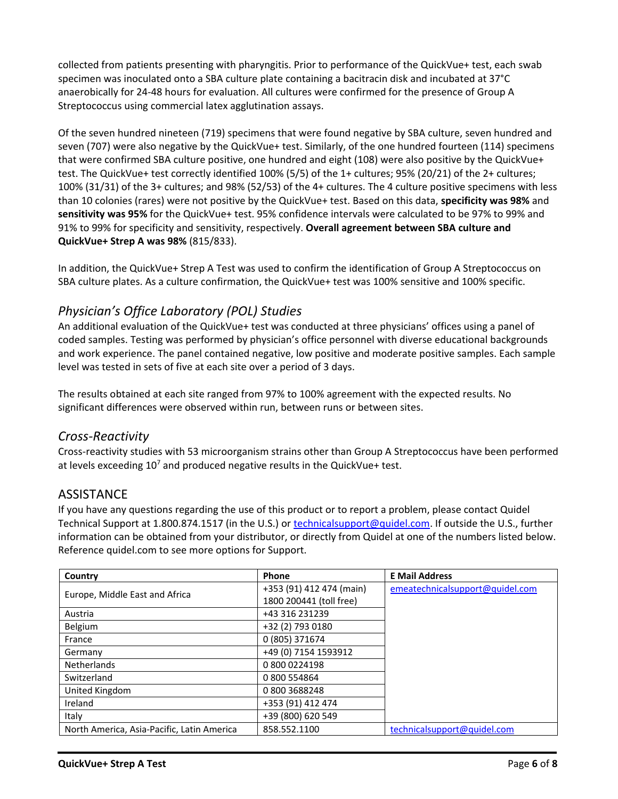collected from patients presenting with pharyngitis. Prior to performance of the QuickVue+ test, each swab specimen was inoculated onto a SBA culture plate containing a bacitracin disk and incubated at 37°C anaerobically for 24-48 hours for evaluation. All cultures were confirmed for the presence of Group A Streptococcus using commercial latex agglutination assays.

Of the seven hundred nineteen (719) specimens that were found negative by SBA culture, seven hundred and seven (707) were also negative by the QuickVue+ test. Similarly, of the one hundred fourteen (114) specimens that were confirmed SBA culture positive, one hundred and eight (108) were also positive by the QuickVue+ test. The QuickVue+ test correctly identified 100% (5/5) of the 1+ cultures; 95% (20/21) of the 2+ cultures; 100% (31/31) of the 3+ cultures; and 98% (52/53) of the 4+ cultures. The 4 culture positive specimens with less than 10 colonies (rares) were not positive by the QuickVue+ test. Based on this data, **specificity was 98%** and **sensitivity was 95%** for the QuickVue+ test. 95% confidence intervals were calculated to be 97% to 99% and 91% to 99% for specificity and sensitivity, respectively. **Overall agreement between SBA culture and QuickVue+ Strep A was 98%** (815/833).

In addition, the QuickVue+ Strep A Test was used to confirm the identification of Group A Streptococcus on SBA culture plates. As a culture confirmation, the QuickVue+ test was 100% sensitive and 100% specific.

# *Physician's Office Laboratory (POL) Studies*

An additional evaluation of the QuickVue+ test was conducted at three physicians' offices using a panel of coded samples. Testing was performed by physician's office personnel with diverse educational backgrounds and work experience. The panel contained negative, low positive and moderate positive samples. Each sample level was tested in sets of five at each site over a period of 3 days.

The results obtained at each site ranged from 97% to 100% agreement with the expected results. No significant differences were observed within run, between runs or between sites.

# *Cross-Reactivity*

Cross-reactivity studies with 53 microorganism strains other than Group A Streptococcus have been performed at levels exceeding 10<sup>7</sup> and produced negative results in the QuickVue+ test.

# **ASSISTANCE**

If you have any questions regarding the use of this product or to report a problem, please contact Quidel Technical Support at 1.800.874.1517 (in the U.S.) or [technicalsupport@quidel.com.](mailto:technicalsupport@quidel.com) If outside the U.S., further information can be obtained from your distributor, or directly from Quidel at one of the numbers listed below. Reference quidel.com to see more options for Support.

| Country                                    | Phone                    | <b>E Mail Address</b>           |
|--------------------------------------------|--------------------------|---------------------------------|
| Europe, Middle East and Africa             | +353 (91) 412 474 (main) | emeatechnicalsupport@quidel.com |
|                                            | 1800 200441 (toll free)  |                                 |
| Austria                                    | +43 316 231239           |                                 |
| Belgium                                    | +32 (2) 793 0180         |                                 |
| France                                     | 0 (805) 371674           |                                 |
| Germany                                    | +49 (0) 7154 1593912     |                                 |
| <b>Netherlands</b>                         | 0 800 0224198            |                                 |
| Switzerland                                | 0 800 554864             |                                 |
| United Kingdom                             | 08003688248              |                                 |
| Ireland                                    | +353 (91) 412 474        |                                 |
| Italy                                      | +39 (800) 620 549        |                                 |
| North America, Asia-Pacific, Latin America | 858.552.1100             | technicalsupport@quidel.com     |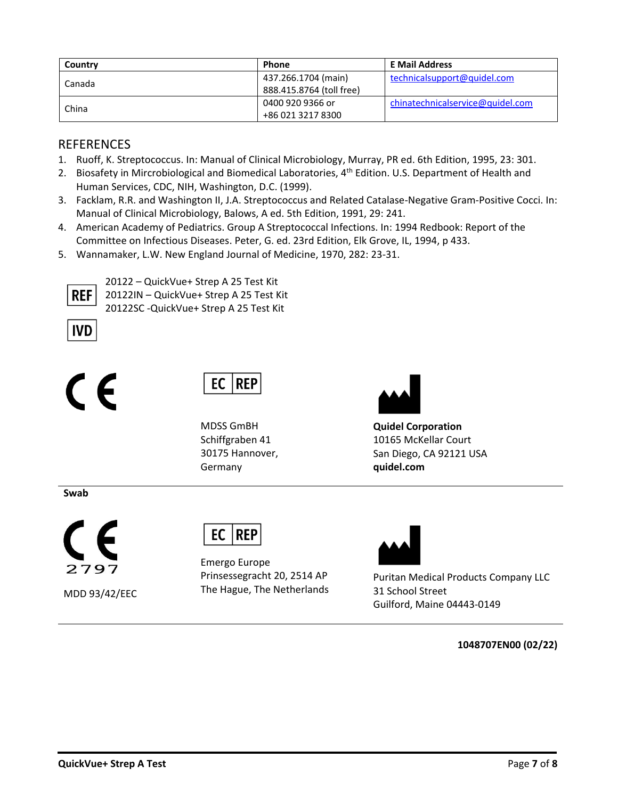| Country | <b>Phone</b>             | <b>E Mail Address</b>            |
|---------|--------------------------|----------------------------------|
| Canada  | 437.266.1704 (main)      | technicalsupport@quidel.com      |
|         | 888.415.8764 (toll free) |                                  |
| China   | 0400 920 9366 or         | chinatechnicalservice@quidel.com |
|         | +86 021 3217 8300        |                                  |

## REFERENCES

- 1. Ruoff, K. Streptococcus. In: Manual of Clinical Microbiology, Murray, PR ed. 6th Edition, 1995, 23: 301.
- 2. Biosafety in Mircrobiological and Biomedical Laboratories, 4<sup>th</sup> Edition. U.S. Department of Health and Human Services, CDC, NIH, Washington, D.C. (1999).
- 3. Facklam, R.R. and Washington II, J.A. Streptococcus and Related Catalase-Negative Gram-Positive Cocci. In: Manual of Clinical Microbiology, Balows, A ed. 5th Edition, 1991, 29: 241.
- 4. American Academy of Pediatrics. Group A Streptococcal Infections. In: 1994 Redbook: Report of the Committee on Infectious Diseases. Peter, G. ed. 23rd Edition, Elk Grove, IL, 1994, p 433.
- 5. Wannamaker, L.W. New England Journal of Medicine, 1970, 282: 23-31.



20122 – QuickVue+ Strep A 25 Test Kit 20122IN – QuickVue+ Strep A 25 Test Kit 20122SC -QuickVue+ Strep A 25 Test Kit



# $\epsilon$



MDSS GmBH Schiffgraben 41 30175 Hannover, Germany



**Quidel Corporation** 10165 McKellar Court San Diego, CA 92121 USA **quidel.com**

**Swab**



MDD 93/42/EEC

|--|--|

Emergo Europe Prinsessegracht 20, 2514 AP The Hague, The Netherlands



Puritan Medical Products Company LLC 31 School Street Guilford, Maine 04443-0149

**1048707EN00 (02/22)**